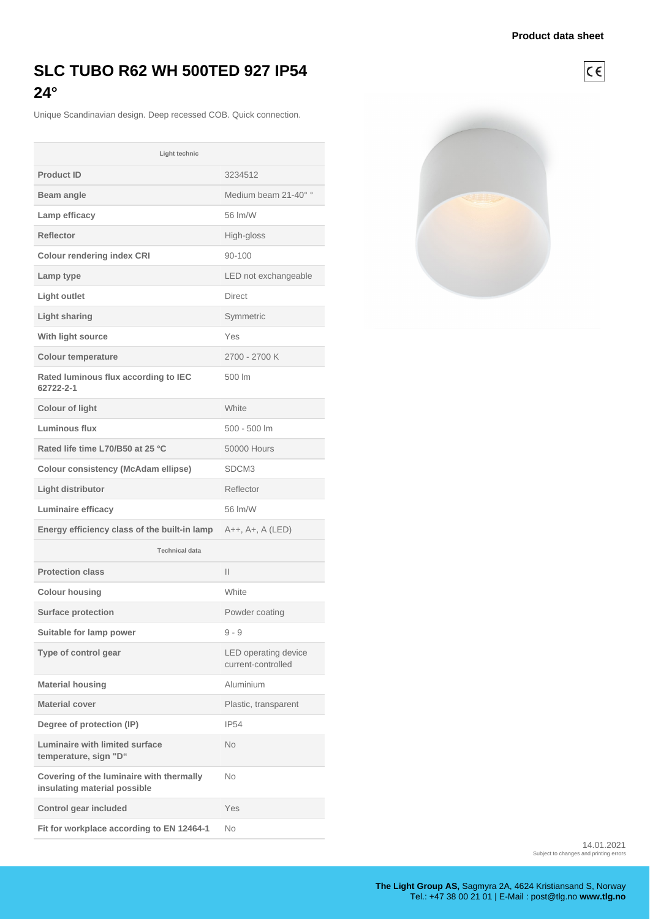$C \in$ 

## **SLC TUBO R62 WH 500TED 927 IP54 24°**

Unique Scandinavian design. Deep recessed COB. Quick connection.

| Light technic                                                            |                                            |
|--------------------------------------------------------------------------|--------------------------------------------|
| <b>Product ID</b>                                                        | 3234512                                    |
| Beam angle                                                               | Medium beam 21-40° °                       |
| Lamp efficacy                                                            | 56 Im/W                                    |
| <b>Reflector</b>                                                         | High-gloss                                 |
| <b>Colour rendering index CRI</b>                                        | 90-100                                     |
| Lamp type                                                                | LED not exchangeable                       |
| Light outlet                                                             | <b>Direct</b>                              |
| <b>Light sharing</b>                                                     | Symmetric                                  |
| With light source                                                        | Yes                                        |
| <b>Colour temperature</b>                                                | 2700 - 2700 K                              |
| Rated luminous flux according to IEC<br>62722-2-1                        | 500 lm                                     |
| <b>Colour of light</b>                                                   | White                                      |
| Luminous flux                                                            | 500 - 500 lm                               |
| Rated life time L70/B50 at 25 °C                                         | <b>50000 Hours</b>                         |
| <b>Colour consistency (McAdam ellipse)</b>                               | SDCM3                                      |
| Light distributor                                                        | Reflector                                  |
| <b>Luminaire efficacy</b>                                                | 56 lm/W                                    |
| Energy efficiency class of the built-in lamp                             | A++, A+, A (LED)                           |
| <b>Technical data</b>                                                    |                                            |
| <b>Protection class</b>                                                  | Ш                                          |
| <b>Colour housing</b>                                                    | White                                      |
| <b>Surface protection</b>                                                | Powder coating                             |
| Suitable for lamp power                                                  | $9 - 9$                                    |
| Type of control gear                                                     | LED operating device<br>current-controlled |
| <b>Material housing</b>                                                  | Aluminium                                  |
| <b>Material cover</b>                                                    | Plastic, transparent                       |
| Degree of protection (IP)                                                | <b>IP54</b>                                |
| <b>Luminaire with limited surface</b><br>temperature, sign "D"           | No                                         |
| Covering of the luminaire with thermally<br>insulating material possible | No.                                        |
| Control gear included                                                    | Yes                                        |
| Fit for workplace according to EN 12464-1                                | No                                         |



14.01.2021 Subject to changes and printing errors